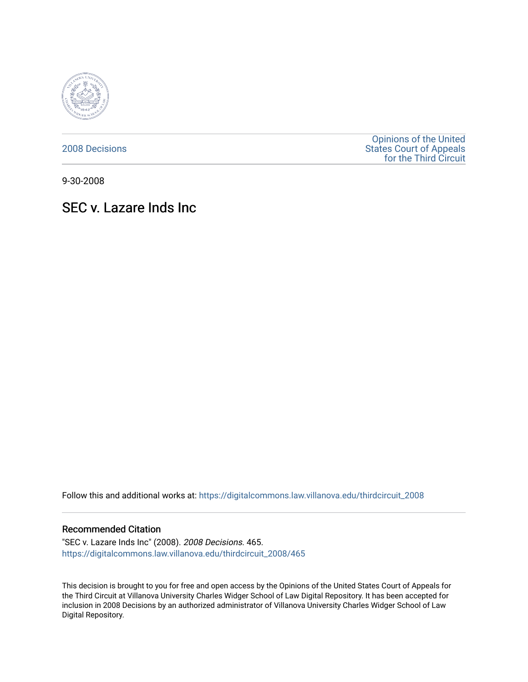

[2008 Decisions](https://digitalcommons.law.villanova.edu/thirdcircuit_2008)

[Opinions of the United](https://digitalcommons.law.villanova.edu/thirdcircuit)  [States Court of Appeals](https://digitalcommons.law.villanova.edu/thirdcircuit)  [for the Third Circuit](https://digitalcommons.law.villanova.edu/thirdcircuit) 

9-30-2008

# SEC v. Lazare Inds Inc

Follow this and additional works at: [https://digitalcommons.law.villanova.edu/thirdcircuit\\_2008](https://digitalcommons.law.villanova.edu/thirdcircuit_2008?utm_source=digitalcommons.law.villanova.edu%2Fthirdcircuit_2008%2F465&utm_medium=PDF&utm_campaign=PDFCoverPages) 

#### Recommended Citation

"SEC v. Lazare Inds Inc" (2008). 2008 Decisions. 465. [https://digitalcommons.law.villanova.edu/thirdcircuit\\_2008/465](https://digitalcommons.law.villanova.edu/thirdcircuit_2008/465?utm_source=digitalcommons.law.villanova.edu%2Fthirdcircuit_2008%2F465&utm_medium=PDF&utm_campaign=PDFCoverPages)

This decision is brought to you for free and open access by the Opinions of the United States Court of Appeals for the Third Circuit at Villanova University Charles Widger School of Law Digital Repository. It has been accepted for inclusion in 2008 Decisions by an authorized administrator of Villanova University Charles Widger School of Law Digital Repository.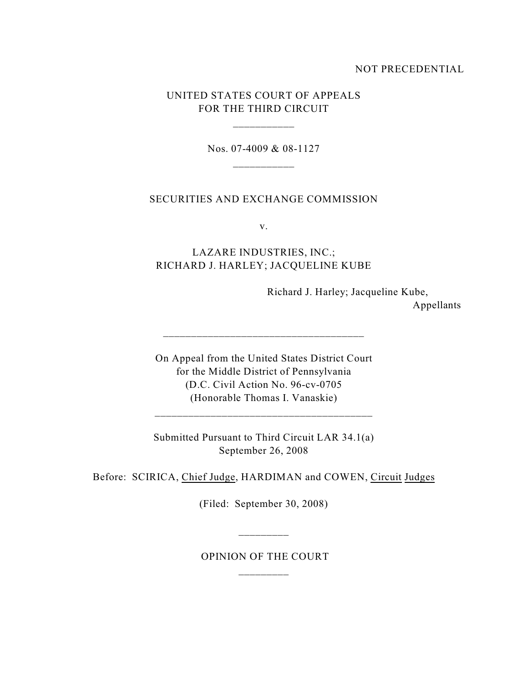### NOT PRECEDENTIAL

### UNITED STATES COURT OF APPEALS FOR THE THIRD CIRCUIT

\_\_\_\_\_\_\_\_\_\_\_

Nos. 07-4009 & 08-1127

### SECURITIES AND EXCHANGE COMMISSION

v.

## LAZARE INDUSTRIES, INC.; RICHARD J. HARLEY; JACQUELINE KUBE

Richard J. Harley; Jacqueline Kube,

Appellants

On Appeal from the United States District Court for the Middle District of Pennsylvania (D.C. Civil Action No. 96-cv-0705 (Honorable Thomas I. Vanaskie)

\_\_\_\_\_\_\_\_\_\_\_\_\_\_\_\_\_\_\_\_\_\_\_\_\_\_\_\_\_\_\_\_\_\_\_\_

Submitted Pursuant to Third Circuit LAR 34.1(a) September 26, 2008

Before: SCIRICA, Chief Judge, HARDIMAN and COWEN, Circuit Judges

(Filed: September 30, 2008)

\_\_\_\_\_\_\_\_\_

 OPINION OF THE COURT \_\_\_\_\_\_\_\_\_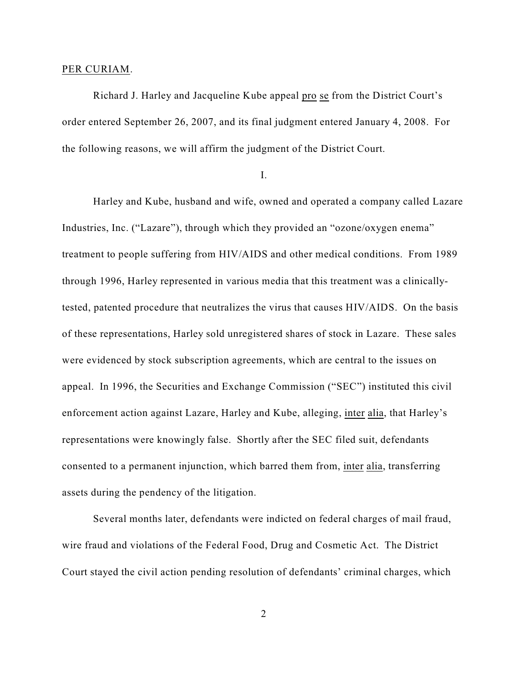#### PER CURIAM.

Richard J. Harley and Jacqueline Kube appeal pro se from the District Court's order entered September 26, 2007, and its final judgment entered January 4, 2008. For the following reasons, we will affirm the judgment of the District Court.

I.

Harley and Kube, husband and wife, owned and operated a company called Lazare Industries, Inc. ("Lazare"), through which they provided an "ozone/oxygen enema" treatment to people suffering from HIV/AIDS and other medical conditions. From 1989 through 1996, Harley represented in various media that this treatment was a clinicallytested, patented procedure that neutralizes the virus that causes HIV/AIDS. On the basis of these representations, Harley sold unregistered shares of stock in Lazare. These sales were evidenced by stock subscription agreements, which are central to the issues on appeal. In 1996, the Securities and Exchange Commission ("SEC") instituted this civil enforcement action against Lazare, Harley and Kube, alleging, inter alia, that Harley's representations were knowingly false. Shortly after the SEC filed suit, defendants consented to a permanent injunction, which barred them from, inter alia, transferring assets during the pendency of the litigation.

Several months later, defendants were indicted on federal charges of mail fraud, wire fraud and violations of the Federal Food, Drug and Cosmetic Act. The District Court stayed the civil action pending resolution of defendants' criminal charges, which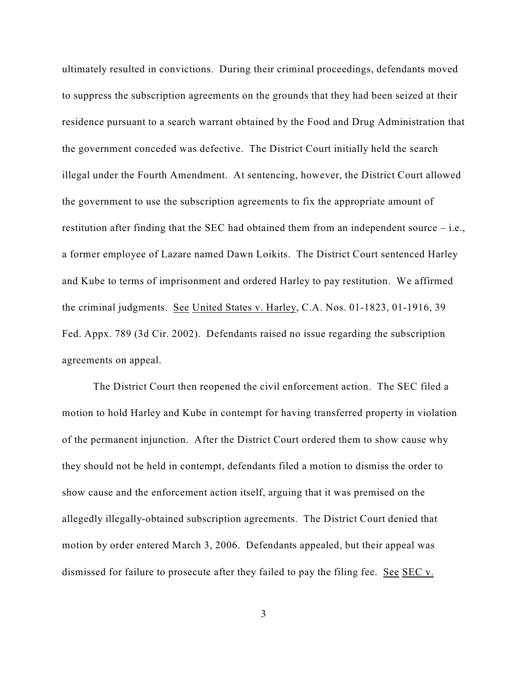ultimately resulted in convictions. During their criminal proceedings, defendants moved to suppress the subscription agreements on the grounds that they had been seized at their residence pursuant to a search warrant obtained by the Food and Drug Administration that the government conceded was defective. The District Court initially held the search illegal under the Fourth Amendment. At sentencing, however, the District Court allowed the government to use the subscription agreements to fix the appropriate amount of restitution after finding that the SEC had obtained them from an independent source – i.e., a former employee of Lazare named Dawn Loikits. The District Court sentenced Harley and Kube to terms of imprisonment and ordered Harley to pay restitution. We affirmed the criminal judgments. See United States v. Harley, C.A. Nos. 01-1823, 01-1916, 39 Fed. Appx. 789 (3d Cir. 2002). Defendants raised no issue regarding the subscription agreements on appeal.

The District Court then reopened the civil enforcement action. The SEC filed a motion to hold Harley and Kube in contempt for having transferred property in violation of the permanent injunction. After the District Court ordered them to show cause why they should not be held in contempt, defendants filed a motion to dismiss the order to show cause and the enforcement action itself, arguing that it was premised on the allegedly illegally-obtained subscription agreements. The District Court denied that motion by order entered March 3, 2006. Defendants appealed, but their appeal was dismissed for failure to prosecute after they failed to pay the filing fee. See SEC v.

3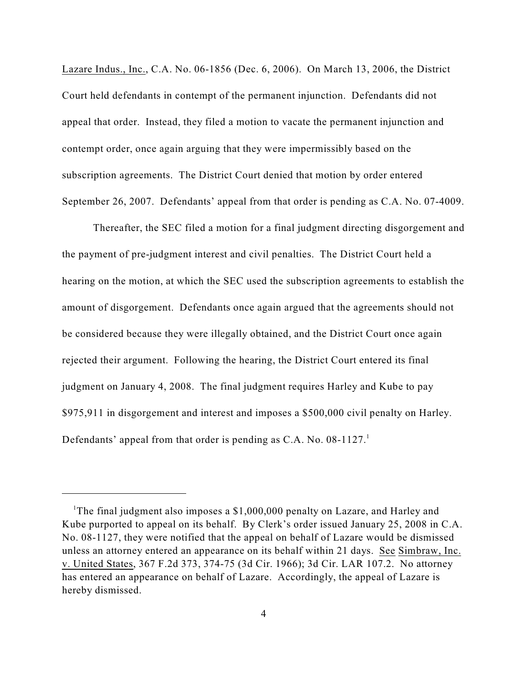Lazare Indus., Inc., C.A. No. 06-1856 (Dec. 6, 2006). On March 13, 2006, the District Court held defendants in contempt of the permanent injunction. Defendants did not appeal that order. Instead, they filed a motion to vacate the permanent injunction and contempt order, once again arguing that they were impermissibly based on the subscription agreements. The District Court denied that motion by order entered September 26, 2007. Defendants' appeal from that order is pending as C.A. No. 07-4009.

Thereafter, the SEC filed a motion for a final judgment directing disgorgement and the payment of pre-judgment interest and civil penalties. The District Court held a hearing on the motion, at which the SEC used the subscription agreements to establish the amount of disgorgement. Defendants once again argued that the agreements should not be considered because they were illegally obtained, and the District Court once again rejected their argument. Following the hearing, the District Court entered its final judgment on January 4, 2008. The final judgment requires Harley and Kube to pay \$975,911 in disgorgement and interest and imposes a \$500,000 civil penalty on Harley. Defendants' appeal from that order is pending as C.A. No.  $08-1127$ .<sup>1</sup>

<sup>&</sup>lt;sup>1</sup>The final judgment also imposes a  $$1,000,000$  penalty on Lazare, and Harley and Kube purported to appeal on its behalf. By Clerk's order issued January 25, 2008 in C.A. No. 08-1127, they were notified that the appeal on behalf of Lazare would be dismissed unless an attorney entered an appearance on its behalf within 21 days. See Simbraw, Inc. v. United States, 367 F.2d 373, 374-75 (3d Cir. 1966); 3d Cir. LAR 107.2. No attorney has entered an appearance on behalf of Lazare. Accordingly, the appeal of Lazare is hereby dismissed.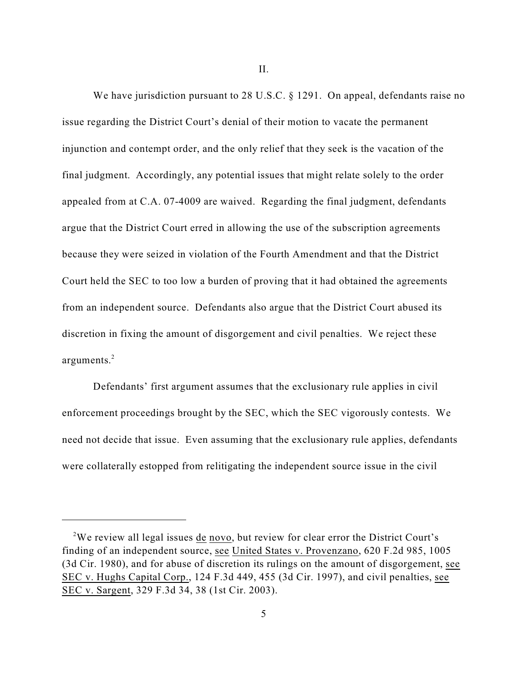II.

We have jurisdiction pursuant to 28 U.S.C. § 1291. On appeal, defendants raise no issue regarding the District Court's denial of their motion to vacate the permanent injunction and contempt order, and the only relief that they seek is the vacation of the final judgment. Accordingly, any potential issues that might relate solely to the order appealed from at C.A. 07-4009 are waived. Regarding the final judgment, defendants argue that the District Court erred in allowing the use of the subscription agreements because they were seized in violation of the Fourth Amendment and that the District Court held the SEC to too low a burden of proving that it had obtained the agreements from an independent source. Defendants also argue that the District Court abused its discretion in fixing the amount of disgorgement and civil penalties. We reject these arguments. 2

Defendants' first argument assumes that the exclusionary rule applies in civil enforcement proceedings brought by the SEC, which the SEC vigorously contests. We need not decide that issue. Even assuming that the exclusionary rule applies, defendants were collaterally estopped from relitigating the independent source issue in the civil

<sup>&</sup>lt;sup>2</sup>We review all legal issues de novo, but review for clear error the District Court's finding of an independent source, see United States v. Provenzano, 620 F.2d 985, 1005 (3d Cir. 1980), and for abuse of discretion its rulings on the amount of disgorgement, see SEC v. Hughs Capital Corp., 124 F.3d 449, 455 (3d Cir. 1997), and civil penalties, see SEC v. Sargent, 329 F.3d 34, 38 (1st Cir. 2003).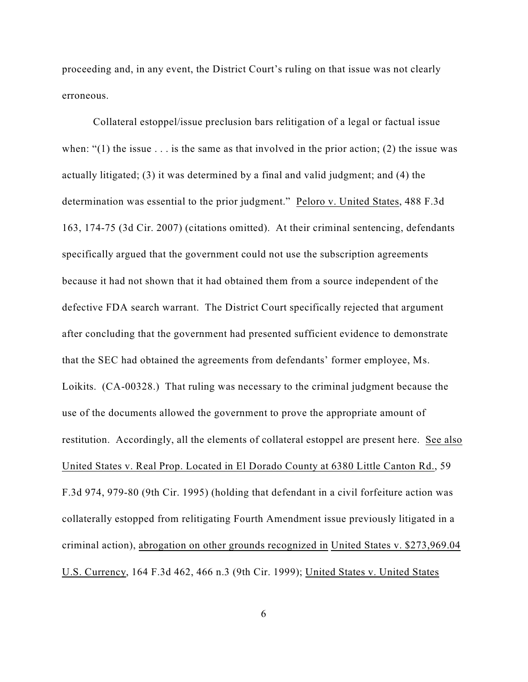proceeding and, in any event, the District Court's ruling on that issue was not clearly erroneous.

Collateral estoppel/issue preclusion bars relitigation of a legal or factual issue when: " $(1)$  the issue . . . is the same as that involved in the prior action;  $(2)$  the issue was actually litigated; (3) it was determined by a final and valid judgment; and (4) the determination was essential to the prior judgment." Peloro v. United States, 488 F.3d 163, 174-75 (3d Cir. 2007) (citations omitted). At their criminal sentencing, defendants specifically argued that the government could not use the subscription agreements because it had not shown that it had obtained them from a source independent of the defective FDA search warrant. The District Court specifically rejected that argument after concluding that the government had presented sufficient evidence to demonstrate that the SEC had obtained the agreements from defendants' former employee, Ms. Loikits. (CA-00328.) That ruling was necessary to the criminal judgment because the use of the documents allowed the government to prove the appropriate amount of restitution. Accordingly, all the elements of collateral estoppel are present here. See also United States v. Real Prop. Located in El Dorado County at 6380 Little Canton Rd., 59 F.3d 974, 979-80 (9th Cir. 1995) (holding that defendant in a civil forfeiture action was collaterally estopped from relitigating Fourth Amendment issue previously litigated in a criminal action), abrogation on other grounds recognized in United States v. \$273,969.04 U.S. Currency, 164 F.3d 462, 466 n.3 (9th Cir. 1999); United States v. United States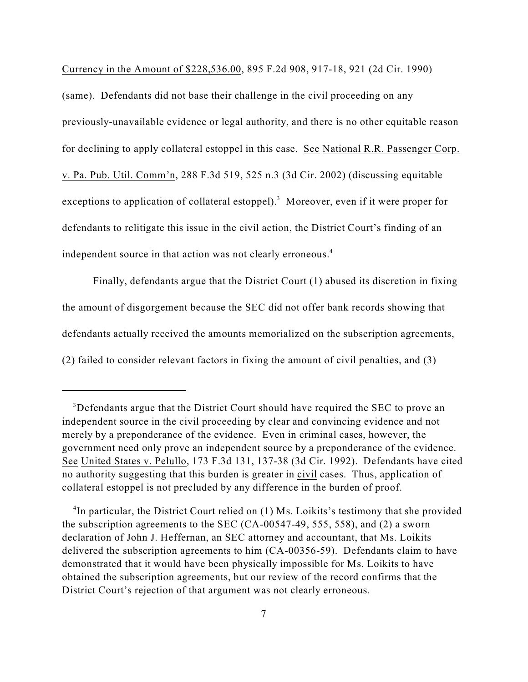Currency in the Amount of \$228,536.00, 895 F.2d 908, 917-18, 921 (2d Cir. 1990)

(same). Defendants did not base their challenge in the civil proceeding on any previously-unavailable evidence or legal authority, and there is no other equitable reason for declining to apply collateral estoppel in this case. See National R.R. Passenger Corp. v. Pa. Pub. Util. Comm'n, 288 F.3d 519, 525 n.3 (3d Cir. 2002) (discussing equitable exceptions to application of collateral estoppel).<sup>3</sup> Moreover, even if it were proper for defendants to relitigate this issue in the civil action, the District Court's finding of an independent source in that action was not clearly erroneous.<sup>4</sup>

Finally, defendants argue that the District Court (1) abused its discretion in fixing the amount of disgorgement because the SEC did not offer bank records showing that defendants actually received the amounts memorialized on the subscription agreements, (2) failed to consider relevant factors in fixing the amount of civil penalties, and (3)

<sup>4</sup>In particular, the District Court relied on  $(1)$  Ms. Loikits's testimony that she provided the subscription agreements to the SEC (CA-00547-49, 555, 558), and (2) a sworn declaration of John J. Heffernan, an SEC attorney and accountant, that Ms. Loikits delivered the subscription agreements to him (CA-00356-59). Defendants claim to have demonstrated that it would have been physically impossible for Ms. Loikits to have obtained the subscription agreements, but our review of the record confirms that the District Court's rejection of that argument was not clearly erroneous.

<sup>&</sup>lt;sup>3</sup>Defendants argue that the District Court should have required the SEC to prove an independent source in the civil proceeding by clear and convincing evidence and not merely by a preponderance of the evidence. Even in criminal cases, however, the government need only prove an independent source by a preponderance of the evidence. See United States v. Pelullo, 173 F.3d 131, 137-38 (3d Cir. 1992). Defendants have cited no authority suggesting that this burden is greater in civil cases. Thus, application of collateral estoppel is not precluded by any difference in the burden of proof.